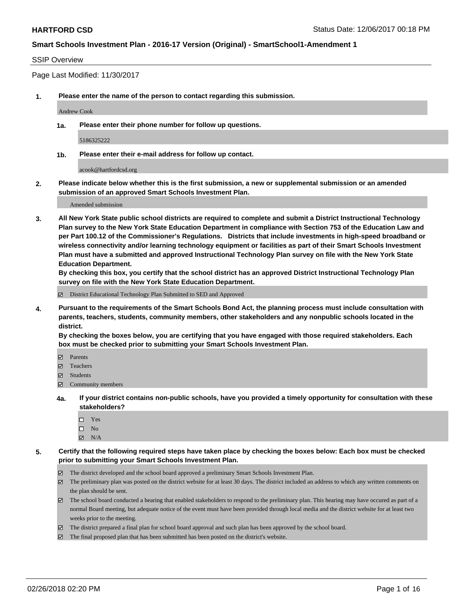### SSIP Overview

Page Last Modified: 11/30/2017

**1. Please enter the name of the person to contact regarding this submission.**

Andrew Cook

**1a. Please enter their phone number for follow up questions.**

5186325222

**1b. Please enter their e-mail address for follow up contact.**

acook@hartfordcsd.org

**2. Please indicate below whether this is the first submission, a new or supplemental submission or an amended submission of an approved Smart Schools Investment Plan.**

Amended submission

**3. All New York State public school districts are required to complete and submit a District Instructional Technology Plan survey to the New York State Education Department in compliance with Section 753 of the Education Law and per Part 100.12 of the Commissioner's Regulations. Districts that include investments in high-speed broadband or wireless connectivity and/or learning technology equipment or facilities as part of their Smart Schools Investment Plan must have a submitted and approved Instructional Technology Plan survey on file with the New York State Education Department.** 

**By checking this box, you certify that the school district has an approved District Instructional Technology Plan survey on file with the New York State Education Department.**

District Educational Technology Plan Submitted to SED and Approved

**4. Pursuant to the requirements of the Smart Schools Bond Act, the planning process must include consultation with parents, teachers, students, community members, other stakeholders and any nonpublic schools located in the district.** 

**By checking the boxes below, you are certifying that you have engaged with those required stakeholders. Each box must be checked prior to submitting your Smart Schools Investment Plan.**

- Parents
- Teachers
- Students
- $\Xi$  Community members
- **4a. If your district contains non-public schools, have you provided a timely opportunity for consultation with these stakeholders?**
	- Yes
	- $\square$  No
	- $N/A$
- **5. Certify that the following required steps have taken place by checking the boxes below: Each box must be checked prior to submitting your Smart Schools Investment Plan.**
	- The district developed and the school board approved a preliminary Smart Schools Investment Plan.
	- $\boxtimes$  The preliminary plan was posted on the district website for at least 30 days. The district included an address to which any written comments on the plan should be sent.
	- $\boxtimes$  The school board conducted a hearing that enabled stakeholders to respond to the preliminary plan. This hearing may have occured as part of a normal Board meeting, but adequate notice of the event must have been provided through local media and the district website for at least two weeks prior to the meeting.
	- The district prepared a final plan for school board approval and such plan has been approved by the school board.
	- $\boxtimes$  The final proposed plan that has been submitted has been posted on the district's website.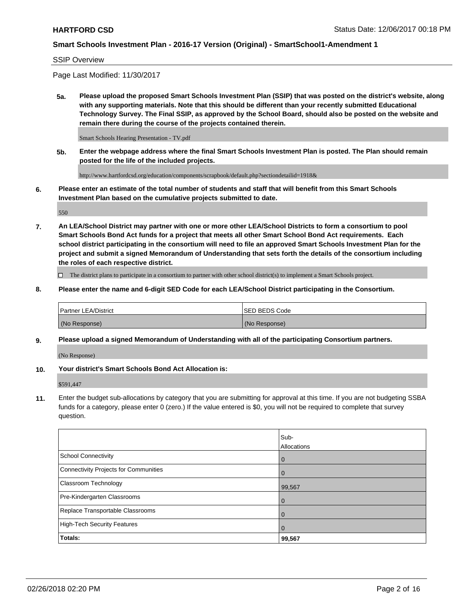#### SSIP Overview

Page Last Modified: 11/30/2017

**5a. Please upload the proposed Smart Schools Investment Plan (SSIP) that was posted on the district's website, along with any supporting materials. Note that this should be different than your recently submitted Educational Technology Survey. The Final SSIP, as approved by the School Board, should also be posted on the website and remain there during the course of the projects contained therein.**

Smart Schools Hearing Presentation - TV.pdf

**5b. Enter the webpage address where the final Smart Schools Investment Plan is posted. The Plan should remain posted for the life of the included projects.**

http://www.hartfordcsd.org/education/components/scrapbook/default.php?sectiondetailid=1918&

**6. Please enter an estimate of the total number of students and staff that will benefit from this Smart Schools Investment Plan based on the cumulative projects submitted to date.**

550

**7. An LEA/School District may partner with one or more other LEA/School Districts to form a consortium to pool Smart Schools Bond Act funds for a project that meets all other Smart School Bond Act requirements. Each school district participating in the consortium will need to file an approved Smart Schools Investment Plan for the project and submit a signed Memorandum of Understanding that sets forth the details of the consortium including the roles of each respective district.**

 $\Box$  The district plans to participate in a consortium to partner with other school district(s) to implement a Smart Schools project.

**8. Please enter the name and 6-digit SED Code for each LEA/School District participating in the Consortium.**

| <b>Partner LEA/District</b> | <b>ISED BEDS Code</b> |
|-----------------------------|-----------------------|
| (No Response)               | (No Response)         |

#### **9. Please upload a signed Memorandum of Understanding with all of the participating Consortium partners.**

(No Response)

**10. Your district's Smart Schools Bond Act Allocation is:**

\$591,447

**11.** Enter the budget sub-allocations by category that you are submitting for approval at this time. If you are not budgeting SSBA funds for a category, please enter 0 (zero.) If the value entered is \$0, you will not be required to complete that survey question.

|                                       | Sub-<br><b>Allocations</b> |
|---------------------------------------|----------------------------|
| School Connectivity                   | l 0                        |
| Connectivity Projects for Communities | $\overline{0}$             |
| Classroom Technology                  | 99,567                     |
| Pre-Kindergarten Classrooms           | $\overline{0}$             |
| Replace Transportable Classrooms      | $\Omega$                   |
| High-Tech Security Features           | $\overline{0}$             |
| Totals:                               | 99,567                     |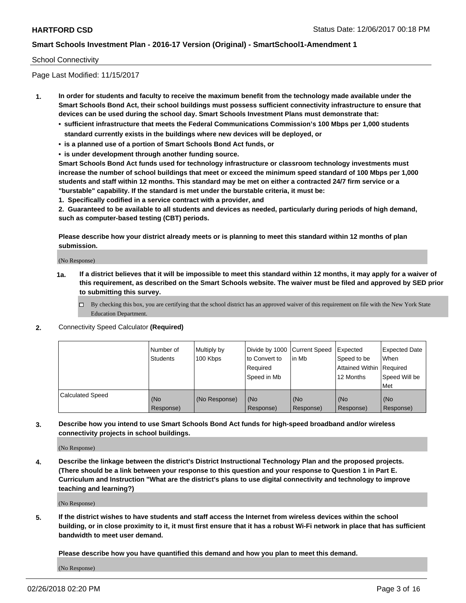### School Connectivity

Page Last Modified: 11/15/2017

- **1. In order for students and faculty to receive the maximum benefit from the technology made available under the Smart Schools Bond Act, their school buildings must possess sufficient connectivity infrastructure to ensure that devices can be used during the school day. Smart Schools Investment Plans must demonstrate that:**
	- **• sufficient infrastructure that meets the Federal Communications Commission's 100 Mbps per 1,000 students standard currently exists in the buildings where new devices will be deployed, or**
	- **• is a planned use of a portion of Smart Schools Bond Act funds, or**
	- **• is under development through another funding source.**

**Smart Schools Bond Act funds used for technology infrastructure or classroom technology investments must increase the number of school buildings that meet or exceed the minimum speed standard of 100 Mbps per 1,000 students and staff within 12 months. This standard may be met on either a contracted 24/7 firm service or a "burstable" capability. If the standard is met under the burstable criteria, it must be:**

**1. Specifically codified in a service contract with a provider, and**

**2. Guaranteed to be available to all students and devices as needed, particularly during periods of high demand, such as computer-based testing (CBT) periods.**

**Please describe how your district already meets or is planning to meet this standard within 12 months of plan submission.**

(No Response)

- **1a. If a district believes that it will be impossible to meet this standard within 12 months, it may apply for a waiver of this requirement, as described on the Smart Schools website. The waiver must be filed and approved by SED prior to submitting this survey.**
	- By checking this box, you are certifying that the school district has an approved waiver of this requirement on file with the New York State Education Department.
- **2.** Connectivity Speed Calculator **(Required)**

|                         | l Number of<br>Students | Multiply by<br>100 Kbps | Divide by 1000 Current Speed<br>to Convert to<br>Required<br>Speed in Mb | lin Mb           | Expected<br>Speed to be<br>Attained Within Required<br>12 Months | <b>Expected Date</b><br>When<br>Speed Will be<br>Met |
|-------------------------|-------------------------|-------------------------|--------------------------------------------------------------------------|------------------|------------------------------------------------------------------|------------------------------------------------------|
| <b>Calculated Speed</b> | (No<br>Response)        | (No Response)           | (No<br>Response)                                                         | (No<br>Response) | (No<br>Response)                                                 | l (No<br>Response)                                   |

**3. Describe how you intend to use Smart Schools Bond Act funds for high-speed broadband and/or wireless connectivity projects in school buildings.**

(No Response)

**4. Describe the linkage between the district's District Instructional Technology Plan and the proposed projects. (There should be a link between your response to this question and your response to Question 1 in Part E. Curriculum and Instruction "What are the district's plans to use digital connectivity and technology to improve teaching and learning?)**

(No Response)

**5. If the district wishes to have students and staff access the Internet from wireless devices within the school building, or in close proximity to it, it must first ensure that it has a robust Wi-Fi network in place that has sufficient bandwidth to meet user demand.**

**Please describe how you have quantified this demand and how you plan to meet this demand.**

(No Response)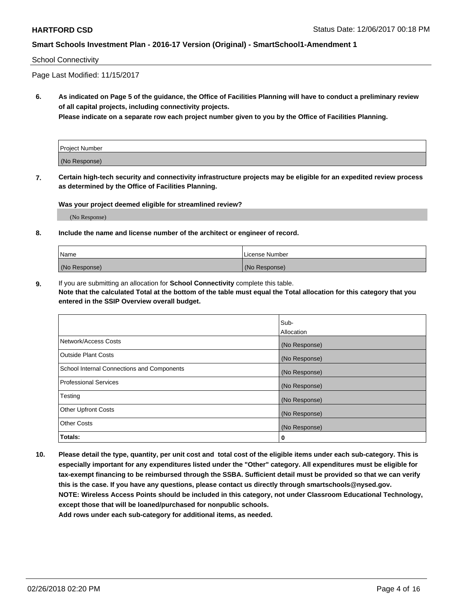### School Connectivity

Page Last Modified: 11/15/2017

**6. As indicated on Page 5 of the guidance, the Office of Facilities Planning will have to conduct a preliminary review of all capital projects, including connectivity projects.**

**Please indicate on a separate row each project number given to you by the Office of Facilities Planning.**

| Project Number |  |
|----------------|--|
| (No Response)  |  |

**7. Certain high-tech security and connectivity infrastructure projects may be eligible for an expedited review process as determined by the Office of Facilities Planning.**

#### **Was your project deemed eligible for streamlined review?**

(No Response)

#### **8. Include the name and license number of the architect or engineer of record.**

| Name          | License Number |
|---------------|----------------|
| (No Response) | (No Response)  |

**9.** If you are submitting an allocation for **School Connectivity** complete this table.

**Note that the calculated Total at the bottom of the table must equal the Total allocation for this category that you entered in the SSIP Overview overall budget.** 

|                                            | Sub-          |
|--------------------------------------------|---------------|
|                                            | Allocation    |
| Network/Access Costs                       | (No Response) |
| Outside Plant Costs                        | (No Response) |
| School Internal Connections and Components | (No Response) |
| Professional Services                      | (No Response) |
| Testing                                    | (No Response) |
| <b>Other Upfront Costs</b>                 | (No Response) |
| <b>Other Costs</b>                         | (No Response) |
| Totals:                                    | 0             |

**10. Please detail the type, quantity, per unit cost and total cost of the eligible items under each sub-category. This is especially important for any expenditures listed under the "Other" category. All expenditures must be eligible for tax-exempt financing to be reimbursed through the SSBA. Sufficient detail must be provided so that we can verify this is the case. If you have any questions, please contact us directly through smartschools@nysed.gov. NOTE: Wireless Access Points should be included in this category, not under Classroom Educational Technology, except those that will be loaned/purchased for nonpublic schools.**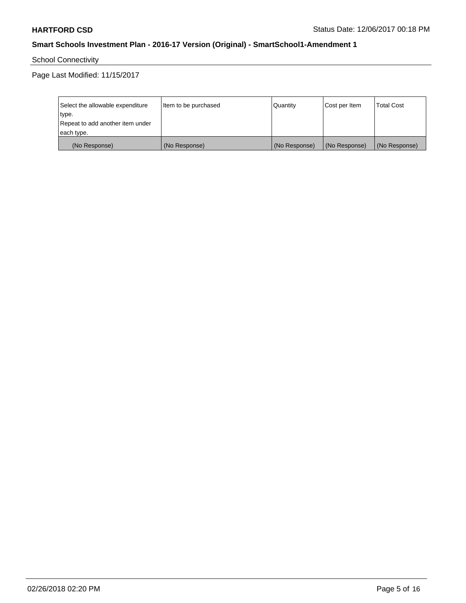School Connectivity

Page Last Modified: 11/15/2017

| Select the allowable expenditure | Item to be purchased | Quantity      | Cost per Item | <b>Total Cost</b> |
|----------------------------------|----------------------|---------------|---------------|-------------------|
| type.                            |                      |               |               |                   |
| Repeat to add another item under |                      |               |               |                   |
| each type.                       |                      |               |               |                   |
| (No Response)                    | (No Response)        | (No Response) | (No Response) | (No Response)     |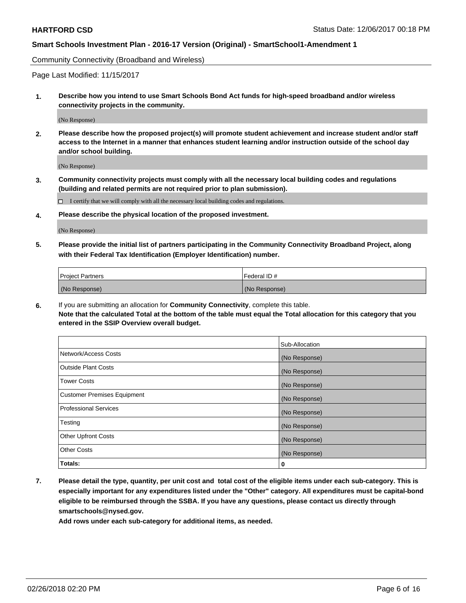Community Connectivity (Broadband and Wireless)

Page Last Modified: 11/15/2017

**1. Describe how you intend to use Smart Schools Bond Act funds for high-speed broadband and/or wireless connectivity projects in the community.**

(No Response)

**2. Please describe how the proposed project(s) will promote student achievement and increase student and/or staff access to the Internet in a manner that enhances student learning and/or instruction outside of the school day and/or school building.**

(No Response)

**3. Community connectivity projects must comply with all the necessary local building codes and regulations (building and related permits are not required prior to plan submission).**

 $\Box$  I certify that we will comply with all the necessary local building codes and regulations.

**4. Please describe the physical location of the proposed investment.**

(No Response)

**5. Please provide the initial list of partners participating in the Community Connectivity Broadband Project, along with their Federal Tax Identification (Employer Identification) number.**

| <b>Project Partners</b> | l Federal ID # |
|-------------------------|----------------|
| (No Response)           | (No Response)  |

**6.** If you are submitting an allocation for **Community Connectivity**, complete this table. **Note that the calculated Total at the bottom of the table must equal the Total allocation for this category that you entered in the SSIP Overview overall budget.**

|                                    | Sub-Allocation |
|------------------------------------|----------------|
| Network/Access Costs               | (No Response)  |
| Outside Plant Costs                | (No Response)  |
| <b>Tower Costs</b>                 | (No Response)  |
| <b>Customer Premises Equipment</b> | (No Response)  |
| Professional Services              | (No Response)  |
| Testing                            | (No Response)  |
| <b>Other Upfront Costs</b>         | (No Response)  |
| <b>Other Costs</b>                 | (No Response)  |
| Totals:                            | 0              |

**7. Please detail the type, quantity, per unit cost and total cost of the eligible items under each sub-category. This is especially important for any expenditures listed under the "Other" category. All expenditures must be capital-bond eligible to be reimbursed through the SSBA. If you have any questions, please contact us directly through smartschools@nysed.gov.**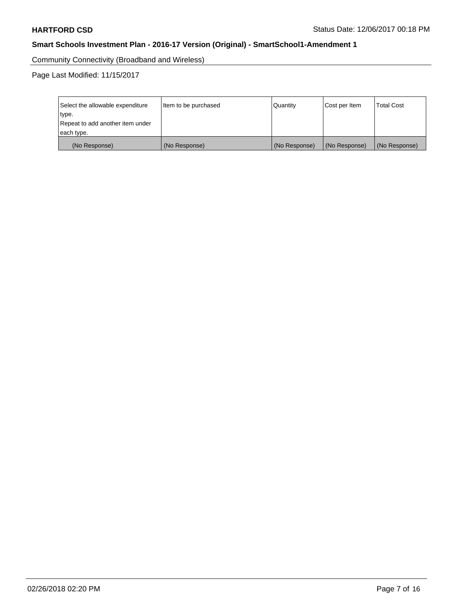Community Connectivity (Broadband and Wireless)

Page Last Modified: 11/15/2017

| Select the allowable expenditure<br>type.<br>Repeat to add another item under | Item to be purchased | Quantity      | Cost per Item | <b>Total Cost</b> |
|-------------------------------------------------------------------------------|----------------------|---------------|---------------|-------------------|
| each type.                                                                    |                      |               |               |                   |
| (No Response)                                                                 | (No Response)        | (No Response) | (No Response) | (No Response)     |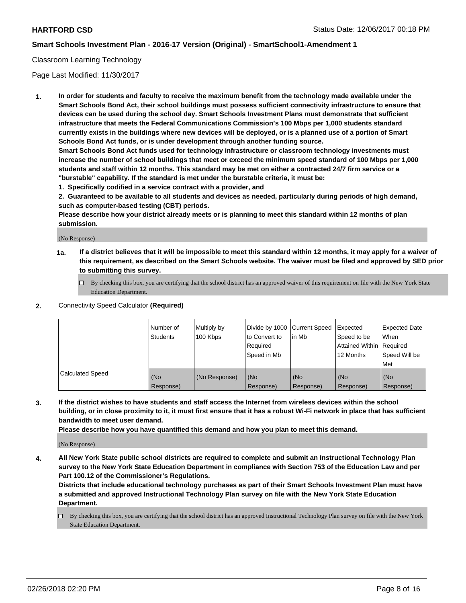## Classroom Learning Technology

Page Last Modified: 11/30/2017

**1. In order for students and faculty to receive the maximum benefit from the technology made available under the Smart Schools Bond Act, their school buildings must possess sufficient connectivity infrastructure to ensure that devices can be used during the school day. Smart Schools Investment Plans must demonstrate that sufficient infrastructure that meets the Federal Communications Commission's 100 Mbps per 1,000 students standard currently exists in the buildings where new devices will be deployed, or is a planned use of a portion of Smart Schools Bond Act funds, or is under development through another funding source.**

**Smart Schools Bond Act funds used for technology infrastructure or classroom technology investments must increase the number of school buildings that meet or exceed the minimum speed standard of 100 Mbps per 1,000 students and staff within 12 months. This standard may be met on either a contracted 24/7 firm service or a "burstable" capability. If the standard is met under the burstable criteria, it must be:**

**1. Specifically codified in a service contract with a provider, and**

**2. Guaranteed to be available to all students and devices as needed, particularly during periods of high demand, such as computer-based testing (CBT) periods.**

**Please describe how your district already meets or is planning to meet this standard within 12 months of plan submission.**

(No Response)

- **1a. If a district believes that it will be impossible to meet this standard within 12 months, it may apply for a waiver of this requirement, as described on the Smart Schools website. The waiver must be filed and approved by SED prior to submitting this survey.**
	- By checking this box, you are certifying that the school district has an approved waiver of this requirement on file with the New York State Education Department.
- **2.** Connectivity Speed Calculator **(Required)**

|                         | l Number of<br><b>Students</b> | Multiply by<br>100 Kbps | Divide by 1000 Current Speed<br>to Convert to<br>Required<br>l Speed in Mb | lin Mb           | Expected<br>Speed to be<br>Attained Within Required<br>12 Months | Expected Date<br>When<br>Speed Will be<br><b>Met</b> |
|-------------------------|--------------------------------|-------------------------|----------------------------------------------------------------------------|------------------|------------------------------------------------------------------|------------------------------------------------------|
| <b>Calculated Speed</b> | (No<br>Response)               | (No Response)           | (No<br>Response)                                                           | (No<br>Response) | (No<br>Response)                                                 | l (No<br>Response)                                   |

**3. If the district wishes to have students and staff access the Internet from wireless devices within the school building, or in close proximity to it, it must first ensure that it has a robust Wi-Fi network in place that has sufficient bandwidth to meet user demand.**

**Please describe how you have quantified this demand and how you plan to meet this demand.**

(No Response)

**4. All New York State public school districts are required to complete and submit an Instructional Technology Plan survey to the New York State Education Department in compliance with Section 753 of the Education Law and per Part 100.12 of the Commissioner's Regulations.**

**Districts that include educational technology purchases as part of their Smart Schools Investment Plan must have a submitted and approved Instructional Technology Plan survey on file with the New York State Education Department.**

By checking this box, you are certifying that the school district has an approved Instructional Technology Plan survey on file with the New York State Education Department.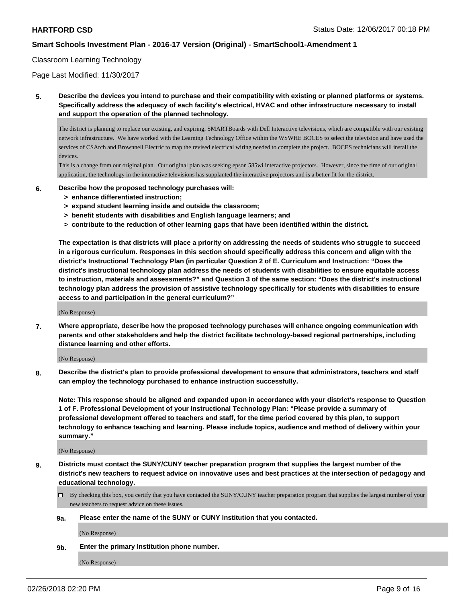### Classroom Learning Technology

Page Last Modified: 11/30/2017

**5. Describe the devices you intend to purchase and their compatibility with existing or planned platforms or systems. Specifically address the adequacy of each facility's electrical, HVAC and other infrastructure necessary to install and support the operation of the planned technology.**

The district is planning to replace our existing, and expiring, SMARTBoards with Dell Interactive televisions, which are compatible with our existing network infrastructure. We have worked with the Learning Technology Office within the WSWHE BOCES to select the television and have used the services of CSArch and Brownnell Electric to map the revised electrical wiring needed to complete the project. BOCES technicians will install the devices.

This is a change from our original plan. Our original plan was seeking epson 585wi interactive projectors. However, since the time of our original application, the technology in the interactive televisions has supplanted the interactive projectors and is a better fit for the district.

- **6. Describe how the proposed technology purchases will:**
	- **> enhance differentiated instruction;**
	- **> expand student learning inside and outside the classroom;**
	- **> benefit students with disabilities and English language learners; and**
	- **> contribute to the reduction of other learning gaps that have been identified within the district.**

**The expectation is that districts will place a priority on addressing the needs of students who struggle to succeed in a rigorous curriculum. Responses in this section should specifically address this concern and align with the district's Instructional Technology Plan (in particular Question 2 of E. Curriculum and Instruction: "Does the district's instructional technology plan address the needs of students with disabilities to ensure equitable access to instruction, materials and assessments?" and Question 3 of the same section: "Does the district's instructional technology plan address the provision of assistive technology specifically for students with disabilities to ensure access to and participation in the general curriculum?"**

(No Response)

**7. Where appropriate, describe how the proposed technology purchases will enhance ongoing communication with parents and other stakeholders and help the district facilitate technology-based regional partnerships, including distance learning and other efforts.**

(No Response)

**8. Describe the district's plan to provide professional development to ensure that administrators, teachers and staff can employ the technology purchased to enhance instruction successfully.**

**Note: This response should be aligned and expanded upon in accordance with your district's response to Question 1 of F. Professional Development of your Instructional Technology Plan: "Please provide a summary of professional development offered to teachers and staff, for the time period covered by this plan, to support technology to enhance teaching and learning. Please include topics, audience and method of delivery within your summary."**

(No Response)

**9. Districts must contact the SUNY/CUNY teacher preparation program that supplies the largest number of the district's new teachers to request advice on innovative uses and best practices at the intersection of pedagogy and educational technology.**

By checking this box, you certify that you have contacted the SUNY/CUNY teacher preparation program that supplies the largest number of your new teachers to request advice on these issues.

#### **9a. Please enter the name of the SUNY or CUNY Institution that you contacted.**

(No Response)

#### **9b. Enter the primary Institution phone number.**

(No Response)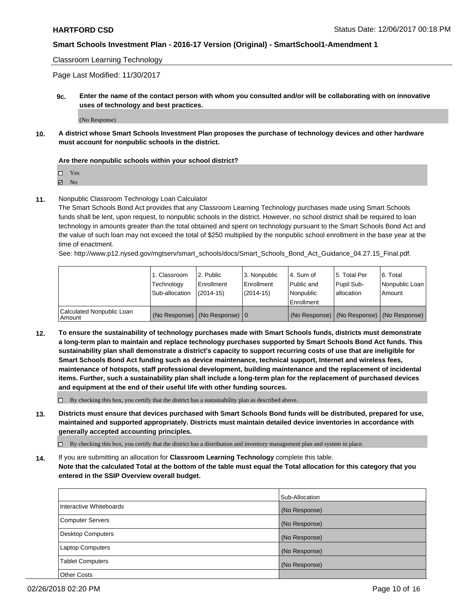Classroom Learning Technology

Page Last Modified: 11/30/2017

**9c. Enter the name of the contact person with whom you consulted and/or will be collaborating with on innovative uses of technology and best practices.**

(No Response)

**10. A district whose Smart Schools Investment Plan proposes the purchase of technology devices and other hardware must account for nonpublic schools in the district.**

#### **Are there nonpublic schools within your school district?**

Yes

**Z** No

**11.** Nonpublic Classroom Technology Loan Calculator

The Smart Schools Bond Act provides that any Classroom Learning Technology purchases made using Smart Schools funds shall be lent, upon request, to nonpublic schools in the district. However, no school district shall be required to loan technology in amounts greater than the total obtained and spent on technology pursuant to the Smart Schools Bond Act and the value of such loan may not exceed the total of \$250 multiplied by the nonpublic school enrollment in the base year at the time of enactment.

See: http://www.p12.nysed.gov/mgtserv/smart\_schools/docs/Smart\_Schools\_Bond\_Act\_Guidance\_04.27.15\_Final.pdf.

|                                     | 1. Classroom<br>Technology<br>Sub-allocation | 12. Public<br>l Enrollment<br>$(2014-15)$  | l 3. Nonpublic<br>Enrollment<br>(2014-15) | l 4. Sum of<br>Public and<br>l Nonpublic<br>Enrollment | 15. Total Per<br>Pupil Sub-<br>l allocation | 6. Total<br>Nonpublic Loan<br>Amount          |
|-------------------------------------|----------------------------------------------|--------------------------------------------|-------------------------------------------|--------------------------------------------------------|---------------------------------------------|-----------------------------------------------|
| Calculated Nonpublic Loan<br>Amount |                                              | (No Response) $ (No$ Response) $ 0\rangle$ |                                           |                                                        |                                             | (No Response)   (No Response)   (No Response) |

**12. To ensure the sustainability of technology purchases made with Smart Schools funds, districts must demonstrate a long-term plan to maintain and replace technology purchases supported by Smart Schools Bond Act funds. This sustainability plan shall demonstrate a district's capacity to support recurring costs of use that are ineligible for Smart Schools Bond Act funding such as device maintenance, technical support, Internet and wireless fees, maintenance of hotspots, staff professional development, building maintenance and the replacement of incidental items. Further, such a sustainability plan shall include a long-term plan for the replacement of purchased devices and equipment at the end of their useful life with other funding sources.**

 $\Box$  By checking this box, you certify that the district has a sustainability plan as described above.

**13. Districts must ensure that devices purchased with Smart Schools Bond funds will be distributed, prepared for use, maintained and supported appropriately. Districts must maintain detailed device inventories in accordance with generally accepted accounting principles.**

 $\Box$  By checking this box, you certify that the district has a distribution and inventory management plan and system in place.

**14.** If you are submitting an allocation for **Classroom Learning Technology** complete this table. **Note that the calculated Total at the bottom of the table must equal the Total allocation for this category that you entered in the SSIP Overview overall budget.**

|                          | Sub-Allocation |
|--------------------------|----------------|
| Interactive Whiteboards  | (No Response)  |
| <b>Computer Servers</b>  | (No Response)  |
| <b>Desktop Computers</b> | (No Response)  |
| <b>Laptop Computers</b>  | (No Response)  |
| <b>Tablet Computers</b>  | (No Response)  |
| <b>Other Costs</b>       |                |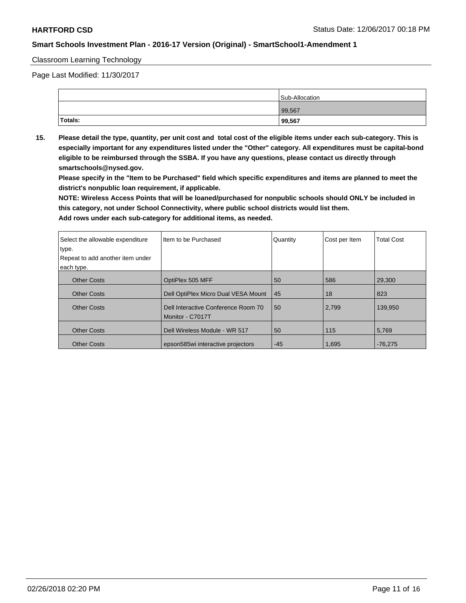#### Classroom Learning Technology

Page Last Modified: 11/30/2017

|         | Sub-Allocation |
|---------|----------------|
|         | 99,567         |
| Totals: | 99,567         |

**15. Please detail the type, quantity, per unit cost and total cost of the eligible items under each sub-category. This is especially important for any expenditures listed under the "Other" category. All expenditures must be capital-bond eligible to be reimbursed through the SSBA. If you have any questions, please contact us directly through smartschools@nysed.gov.**

**Please specify in the "Item to be Purchased" field which specific expenditures and items are planned to meet the district's nonpublic loan requirement, if applicable.**

**NOTE: Wireless Access Points that will be loaned/purchased for nonpublic schools should ONLY be included in this category, not under School Connectivity, where public school districts would list them.**

| Select the allowable expenditure | Item to be Purchased                                    | Quantity | Cost per Item | <b>Total Cost</b> |
|----------------------------------|---------------------------------------------------------|----------|---------------|-------------------|
| type.                            |                                                         |          |               |                   |
| Repeat to add another item under |                                                         |          |               |                   |
| each type.                       |                                                         |          |               |                   |
| <b>Other Costs</b>               | OptiPlex 505 MFF                                        | 50       | 586           | 29,300            |
| <b>Other Costs</b>               | Dell OptiPlex Micro Dual VESA Mount                     | 45       | 18            | 823               |
| <b>Other Costs</b>               | Dell Interactive Conference Room 70<br>Monitor - C7017T | 50       | 2,799         | 139.950           |
| <b>Other Costs</b>               | Dell Wireless Module - WR 517                           | 50       | 115           | 5,769             |
| <b>Other Costs</b>               | epson585wi interactive projectors                       | $-45$    | 1,695         | $-76,275$         |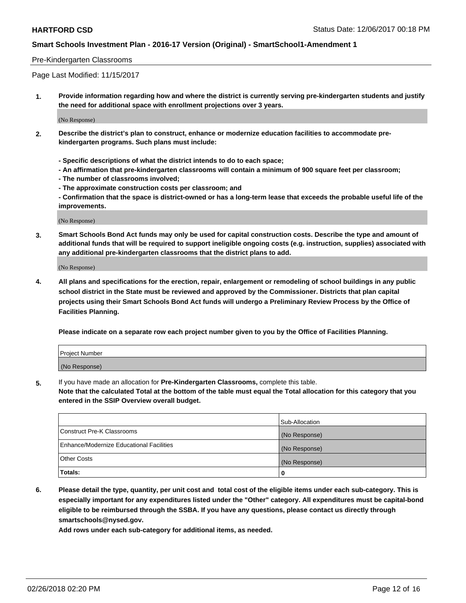### Pre-Kindergarten Classrooms

Page Last Modified: 11/15/2017

**1. Provide information regarding how and where the district is currently serving pre-kindergarten students and justify the need for additional space with enrollment projections over 3 years.**

(No Response)

- **2. Describe the district's plan to construct, enhance or modernize education facilities to accommodate prekindergarten programs. Such plans must include:**
	- **Specific descriptions of what the district intends to do to each space;**
	- **An affirmation that pre-kindergarten classrooms will contain a minimum of 900 square feet per classroom;**
	- **The number of classrooms involved;**
	- **The approximate construction costs per classroom; and**
	- **Confirmation that the space is district-owned or has a long-term lease that exceeds the probable useful life of the improvements.**

(No Response)

**3. Smart Schools Bond Act funds may only be used for capital construction costs. Describe the type and amount of additional funds that will be required to support ineligible ongoing costs (e.g. instruction, supplies) associated with any additional pre-kindergarten classrooms that the district plans to add.**

(No Response)

**4. All plans and specifications for the erection, repair, enlargement or remodeling of school buildings in any public school district in the State must be reviewed and approved by the Commissioner. Districts that plan capital projects using their Smart Schools Bond Act funds will undergo a Preliminary Review Process by the Office of Facilities Planning.**

**Please indicate on a separate row each project number given to you by the Office of Facilities Planning.**

| <b>Project Number</b> |  |
|-----------------------|--|
| (No Response)         |  |

**5.** If you have made an allocation for **Pre-Kindergarten Classrooms,** complete this table.

**Note that the calculated Total at the bottom of the table must equal the Total allocation for this category that you entered in the SSIP Overview overall budget.**

|                                          | Sub-Allocation |
|------------------------------------------|----------------|
| Construct Pre-K Classrooms               | (No Response)  |
| Enhance/Modernize Educational Facilities | (No Response)  |
| Other Costs                              | (No Response)  |
| Totals:                                  | 0              |

**6. Please detail the type, quantity, per unit cost and total cost of the eligible items under each sub-category. This is especially important for any expenditures listed under the "Other" category. All expenditures must be capital-bond eligible to be reimbursed through the SSBA. If you have any questions, please contact us directly through smartschools@nysed.gov.**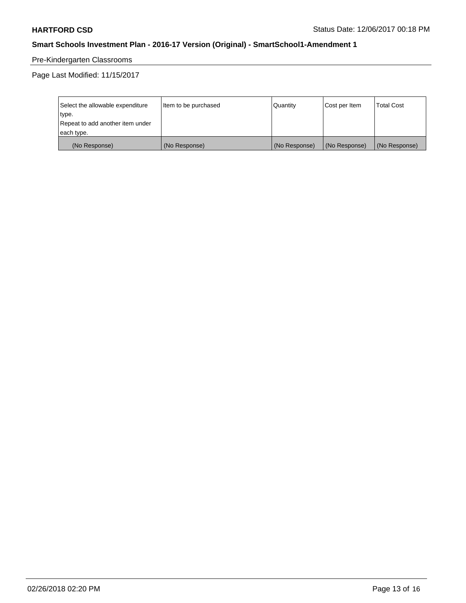# Pre-Kindergarten Classrooms

Page Last Modified: 11/15/2017

| Select the allowable expenditure | Item to be purchased | Quantity      | Cost per Item | <b>Total Cost</b> |
|----------------------------------|----------------------|---------------|---------------|-------------------|
| type.                            |                      |               |               |                   |
| Repeat to add another item under |                      |               |               |                   |
| each type.                       |                      |               |               |                   |
| (No Response)                    | (No Response)        | (No Response) | (No Response) | (No Response)     |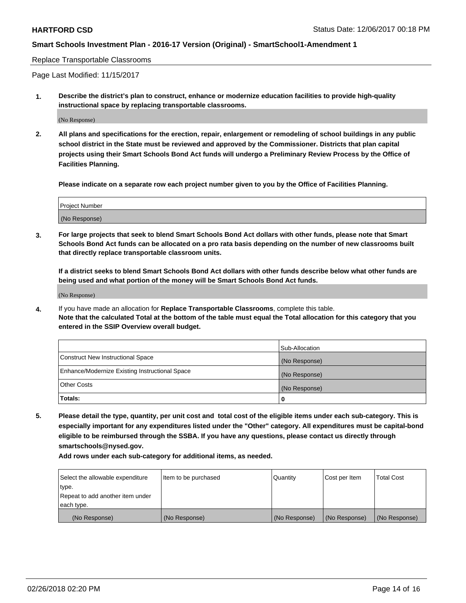#### Replace Transportable Classrooms

Page Last Modified: 11/15/2017

**1. Describe the district's plan to construct, enhance or modernize education facilities to provide high-quality instructional space by replacing transportable classrooms.**

(No Response)

**2. All plans and specifications for the erection, repair, enlargement or remodeling of school buildings in any public school district in the State must be reviewed and approved by the Commissioner. Districts that plan capital projects using their Smart Schools Bond Act funds will undergo a Preliminary Review Process by the Office of Facilities Planning.**

**Please indicate on a separate row each project number given to you by the Office of Facilities Planning.**

| Project Number |  |
|----------------|--|
| (No Response)  |  |

**3. For large projects that seek to blend Smart Schools Bond Act dollars with other funds, please note that Smart Schools Bond Act funds can be allocated on a pro rata basis depending on the number of new classrooms built that directly replace transportable classroom units.**

**If a district seeks to blend Smart Schools Bond Act dollars with other funds describe below what other funds are being used and what portion of the money will be Smart Schools Bond Act funds.**

(No Response)

**4.** If you have made an allocation for **Replace Transportable Classrooms**, complete this table. **Note that the calculated Total at the bottom of the table must equal the Total allocation for this category that you entered in the SSIP Overview overall budget.**

|                                                | Sub-Allocation |
|------------------------------------------------|----------------|
| Construct New Instructional Space              | (No Response)  |
| Enhance/Modernize Existing Instructional Space | (No Response)  |
| Other Costs                                    | (No Response)  |
| Totals:                                        | 0              |

**5. Please detail the type, quantity, per unit cost and total cost of the eligible items under each sub-category. This is especially important for any expenditures listed under the "Other" category. All expenditures must be capital-bond eligible to be reimbursed through the SSBA. If you have any questions, please contact us directly through smartschools@nysed.gov.**

| Select the allowable expenditure | Item to be purchased | Quantity      | Cost per Item | <b>Total Cost</b> |
|----------------------------------|----------------------|---------------|---------------|-------------------|
| type.                            |                      |               |               |                   |
| Repeat to add another item under |                      |               |               |                   |
| each type.                       |                      |               |               |                   |
| (No Response)                    | (No Response)        | (No Response) | (No Response) | (No Response)     |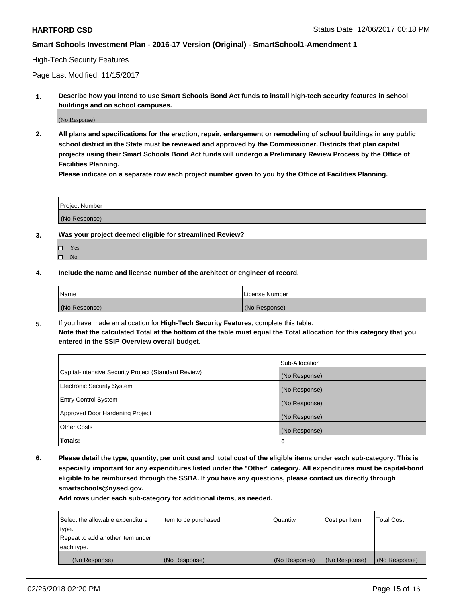#### High-Tech Security Features

Page Last Modified: 11/15/2017

**1. Describe how you intend to use Smart Schools Bond Act funds to install high-tech security features in school buildings and on school campuses.**

(No Response)

**2. All plans and specifications for the erection, repair, enlargement or remodeling of school buildings in any public school district in the State must be reviewed and approved by the Commissioner. Districts that plan capital projects using their Smart Schools Bond Act funds will undergo a Preliminary Review Process by the Office of Facilities Planning.** 

**Please indicate on a separate row each project number given to you by the Office of Facilities Planning.**

| <b>Project Number</b> |  |  |
|-----------------------|--|--|
|                       |  |  |
| (No Response)         |  |  |

- **3. Was your project deemed eligible for streamlined Review?**
	- Yes  $\square$  No
- **4. Include the name and license number of the architect or engineer of record.**

| Name          | License Number |
|---------------|----------------|
| (No Response) | (No Response)  |

**5.** If you have made an allocation for **High-Tech Security Features**, complete this table. **Note that the calculated Total at the bottom of the table must equal the Total allocation for this category that you entered in the SSIP Overview overall budget.**

|                                                      | Sub-Allocation |
|------------------------------------------------------|----------------|
| Capital-Intensive Security Project (Standard Review) | (No Response)  |
| <b>Electronic Security System</b>                    | (No Response)  |
| <b>Entry Control System</b>                          | (No Response)  |
| Approved Door Hardening Project                      | (No Response)  |
| <b>Other Costs</b>                                   | (No Response)  |
| Totals:                                              | 0              |

**6. Please detail the type, quantity, per unit cost and total cost of the eligible items under each sub-category. This is especially important for any expenditures listed under the "Other" category. All expenditures must be capital-bond eligible to be reimbursed through the SSBA. If you have any questions, please contact us directly through smartschools@nysed.gov.**

| Select the allowable expenditure | Item to be purchased | Quantity      | Cost per Item | <b>Total Cost</b> |
|----------------------------------|----------------------|---------------|---------------|-------------------|
| type.                            |                      |               |               |                   |
| Repeat to add another item under |                      |               |               |                   |
| each type.                       |                      |               |               |                   |
| (No Response)                    | (No Response)        | (No Response) | (No Response) | (No Response)     |